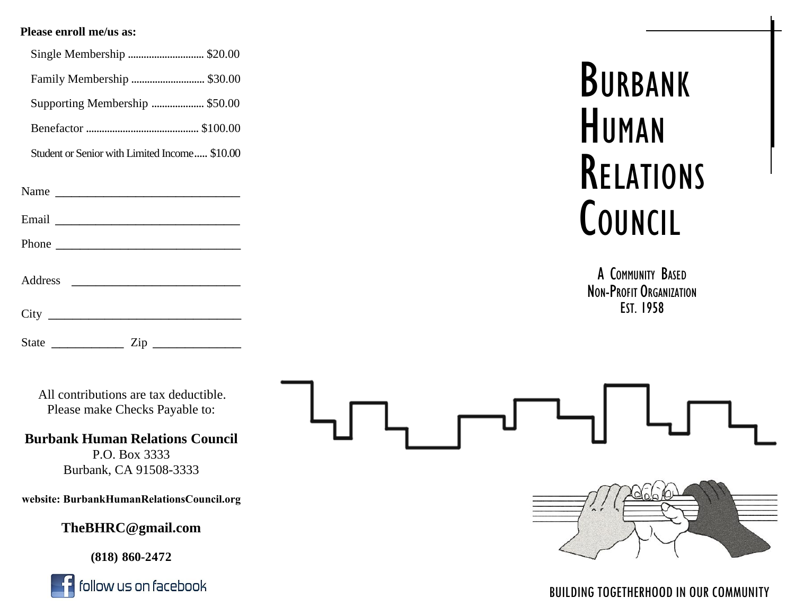#### **Please enroll me/us as:**

| Single Membership  \$20.00                                                |
|---------------------------------------------------------------------------|
| Family Membership  \$30.00                                                |
| Supporting Membership  \$50.00                                            |
|                                                                           |
| Student or Senior with Limited Income \$10.00                             |
| Name $\frac{1}{\sqrt{1-\frac{1}{2}}\left(\frac{1}{2}-\frac{1}{2}\right)}$ |
|                                                                           |
|                                                                           |
| Address                                                                   |
|                                                                           |

BURBANK<br>HUMAN<br>RELATIONS<br>COUNCIL

<sup>A</sup> <sup>C</sup>OMMUNITY <sup>B</sup>ASED <sup>N</sup>ON-PROFIT <sup>O</sup>RGANIZATION <sup>E</sup>ST. <sup>1958</sup>

All contributions are tax deductible. Please make Checks Payable to:

\_\_\_\_\_\_\_\_\_\_\_

State \_\_\_\_\_\_\_\_\_ Zip

**Burbank Human Relations Council**  P.O. Box 3333 Burbank, CA 91508-3333

**website: BurbankHumanRelationsCouncil.org**

**TheBHRC@gmail.com** 

**(818) 860-2 472**





#### BUILDING TOGETHERHOOD IN OUR COMMUNITY